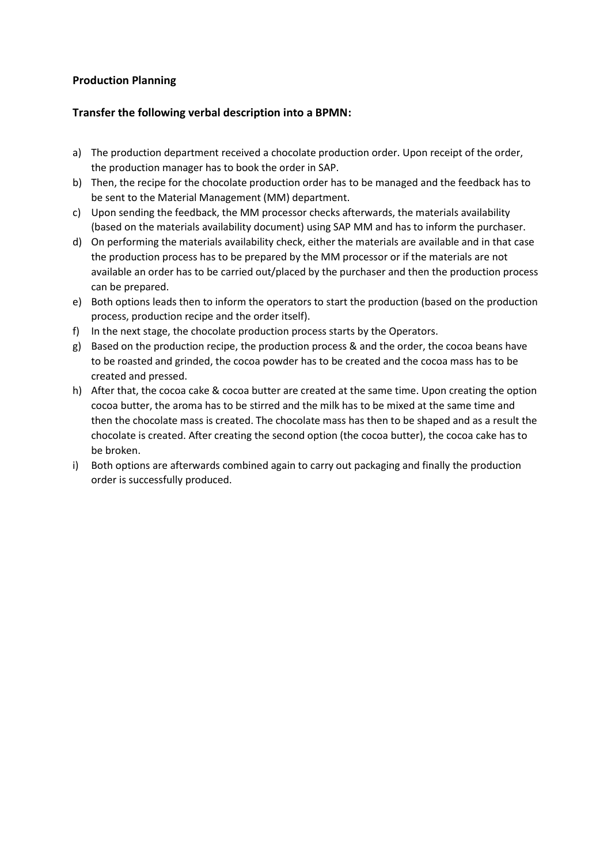## **Production Planning**

## **Transfer the following verbal description into a BPMN:**

- a) The production department received a chocolate production order. Upon receipt of the order, the production manager has to book the order in SAP.
- b) Then, the recipe for the chocolate production order has to be managed and the feedback has to be sent to the Material Management (MM) department.
- c) Upon sending the feedback, the MM processor checks afterwards, the materials availability (based on the materials availability document) using SAP MM and has to inform the purchaser.
- d) On performing the materials availability check, either the materials are available and in that case the production process has to be prepared by the MM processor or if the materials are not available an order has to be carried out/placed by the purchaser and then the production process can be prepared.
- e) Both options leads then to inform the operators to start the production (based on the production process, production recipe and the order itself).
- f) In the next stage, the chocolate production process starts by the Operators.
- g) Based on the production recipe, the production process & and the order, the cocoa beans have to be roasted and grinded, the cocoa powder has to be created and the cocoa mass has to be created and pressed.
- h) After that, the cocoa cake & cocoa butter are created at the same time. Upon creating the option cocoa butter, the aroma has to be stirred and the milk has to be mixed at the same time and then the chocolate mass is created. The chocolate mass has then to be shaped and as a result the chocolate is created. After creating the second option (the cocoa butter), the cocoa cake has to be broken.
- i) Both options are afterwards combined again to carry out packaging and finally the production order is successfully produced.